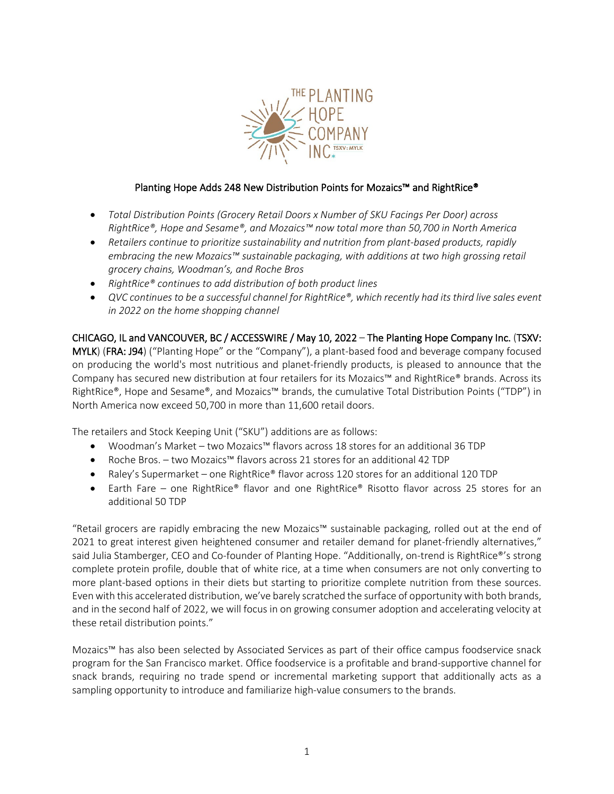

# Planting Hope Adds 248 New Distribution Points for Mozaics™ and RightRice®

- *Total Distribution Points (Grocery Retail Doors x Number of SKU Facings Per Door) across RightRice®, Hope and Sesame®, and Mozaics™ now total more than 50,700 in North America*
- *Retailers continue to prioritize sustainability and nutrition from plant-based products, rapidly embracing the new Mozaics™ sustainable packaging, with additions at two high grossing retail grocery chains, Woodman's, and Roche Bros*
- *RightRice® continues to add distribution of both product lines*
- *QVC continues to be a successful channel for RightRice®, which recently had its third live sales event in 2022 on the home shopping channel*

CHICAGO, IL and VANCOUVER, BC / ACCESSWIRE / May 10, 2022 – The Planting Hope Company Inc. (TSXV: MYLK) (FRA: J94) ("Planting Hope" or the "Company"), a plant-based food and beverage company focused on producing the world's most nutritious and planet-friendly products, is pleased to announce that the Company has secured new distribution at four retailers for its Mozaics™ and RightRice® brands. Across its RightRice®, Hope and Sesame®, and Mozaics™ brands, the cumulative Total Distribution Points ("TDP") in North America now exceed 50,700 in more than 11,600 retail doors.

The retailers and Stock Keeping Unit ("SKU") additions are as follows:

- Woodman's Market two Mozaics™ flavors across 18 stores for an additional 36 TDP
- Roche Bros. two Mozaics™ flavors across 21 stores for an additional 42 TDP
- Raley's Supermarket one RightRice® flavor across 120 stores for an additional 120 TDP
- Earth Fare one RightRice® flavor and one RightRice® Risotto flavor across 25 stores for an additional 50 TDP

"Retail grocers are rapidly embracing the new Mozaics™ sustainable packaging, rolled out at the end of 2021 to great interest given heightened consumer and retailer demand for planet-friendly alternatives," said Julia Stamberger, CEO and Co-founder of Planting Hope. "Additionally, on-trend is RightRice®'s strong complete protein profile, double that of white rice, at a time when consumers are not only converting to more plant-based options in their diets but starting to prioritize complete nutrition from these sources. Even with this accelerated distribution, we've barely scratched the surface of opportunity with both brands, and in the second half of 2022, we will focus in on growing consumer adoption and accelerating velocity at these retail distribution points."

Mozaics™ has also been selected by Associated Services as part of their office campus foodservice snack program for the San Francisco market. Office foodservice is a profitable and brand-supportive channel for snack brands, requiring no trade spend or incremental marketing support that additionally acts as a sampling opportunity to introduce and familiarize high-value consumers to the brands.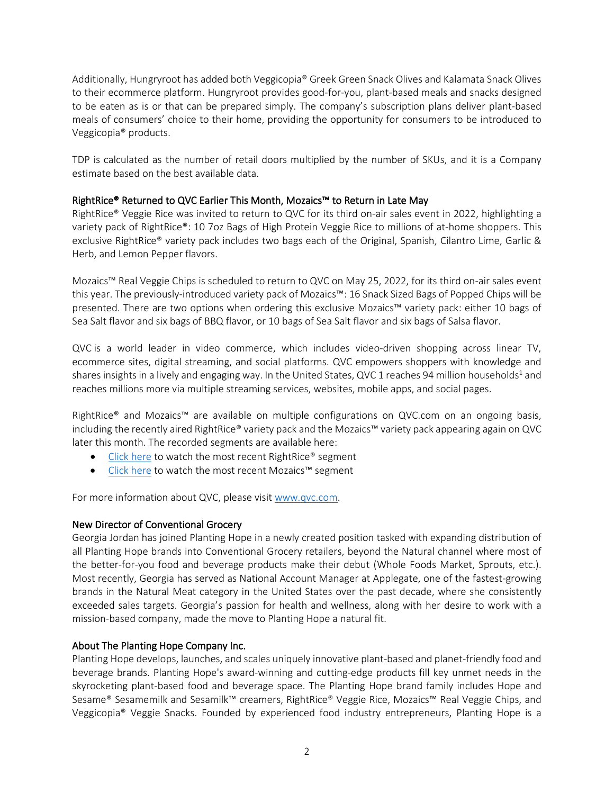Additionally, Hungryroot has added both Veggicopia® Greek Green Snack Olives and Kalamata Snack Olives to their ecommerce platform. Hungryroot provides good-for-you, plant-based meals and snacks designed to be eaten as is or that can be prepared simply. The company's subscription plans deliver plant-based meals of consumers' choice to their home, providing the opportunity for consumers to be introduced to Veggicopia® products.

TDP is calculated as the number of retail doors multiplied by the number of SKUs, and it is a Company estimate based on the best available data.

# RightRice® Returned to QVC Earlier This Month, Mozaics™ to Return in Late May

RightRice® Veggie Rice was invited to return to QVC for its third on-air sales event in 2022, highlighting a variety pack of RightRice®: 10 7oz Bags of High Protein Veggie Rice to millions of at-home shoppers. This exclusive RightRice® variety pack includes two bags each of the Original, Spanish, Cilantro Lime, Garlic & Herb, and Lemon Pepper flavors.

Mozaics™ Real Veggie Chips is scheduled to return to QVC on May 25, 2022, for its third on-air sales event this year. The previously-introduced variety pack of Mozaics™: 16 Snack Sized Bags of Popped Chips will be presented. There are two options when ordering this exclusive Mozaics™ variety pack: either 10 bags of Sea Salt flavor and six bags of BBQ flavor, or 10 bags of Sea Salt flavor and six bags of Salsa flavor.

QVC is a world leader in video commerce, which includes video-driven shopping across linear TV, ecommerce sites, digital streaming, and social platforms. QVC empowers shoppers with knowledge and shares insights in a lively and engaging way. In the United States, QVC 1 reaches 94 million households<sup>1</sup> and reaches millions more via multiple streaming services, websites, mobile apps, and social pages.

RightRice® and Mozaics™ are available on multiple configurations on QVC.com on an ongoing basis, including the recently aired RightRice® variety pack and the Mozaics™ variety pack appearing again on QVC later this month. The recorded segments are available here:

- [Click here](https://www.qvc.com/RightRice-%2810%29-7-oz-Bags-of-High-Protein-Veggie-Rice.product.M82424.html?sc=SRCH) to watch the most recent RightRice® segment
- [Click here](https://www.qvc.com/Mozaics-Popped-Chips-16-Snack-Sized-Bags-Variety-Pack.product.M71686.html?sc=SRCH) to watch the most recent Mozaics™ segment

For more information about QVC, please visit [www.qvc.com.](https://www.qvc.com/)

### New Director of Conventional Grocery

Georgia Jordan has joined Planting Hope in a newly created position tasked with expanding distribution of all Planting Hope brands into Conventional Grocery retailers, beyond the Natural channel where most of the better-for-you food and beverage products make their debut (Whole Foods Market, Sprouts, etc.). Most recently, Georgia has served as National Account Manager at Applegate, one of the fastest-growing brands in the Natural Meat category in the United States over the past decade, where she consistently exceeded sales targets. Georgia's passion for health and wellness, along with her desire to work with a mission-based company, made the move to Planting Hope a natural fit.

### About The Planting Hope Company Inc.

Planting Hope develops, launches, and scales uniquely innovative plant-based and planet-friendly food and beverage brands. Planting Hope's award-winning and cutting-edge products fill key unmet needs in the skyrocketing plant-based food and beverage space. The Planting Hope brand family includes Hope and Sesame® Sesamemilk and Sesamilk™ creamers, RightRice® Veggie Rice, Mozaics™ Real Veggie Chips, and Veggicopia® Veggie Snacks. Founded by experienced food industry entrepreneurs, Planting Hope is a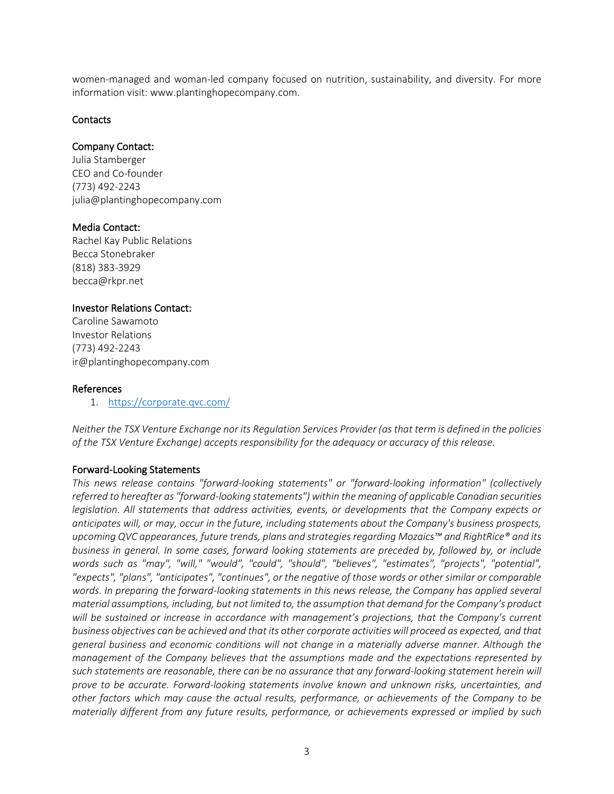women-managed and woman-led company focused on nutrition, sustainability, and diversity. For more information visit: www.plantinghopecompany.com.

### **Contacts**

# Company Contact:

Julia Stamberger CEO and Co-founder (773) 492-2243 julia@plantinghopecompany.com

# Media Contact:

Rachel Kay Public Relations Becca Stonebraker (818) 383-3929 becca@rkpr.net

# Investor Relations Contact:

Caroline Sawamoto Investor Relations (773) 492-2243 ir@plantinghopecompany.com

### References

1. <https://corporate.qvc.com/>

*Neither the TSX Venture Exchange nor its Regulation Services Provider (as that term is defined in the policies of the TSX Venture Exchange) accepts responsibility for the adequacy or accuracy of this release.*

# Forward-Looking Statements

*This news release contains "forward-looking statements" or "forward-looking information" (collectively referred to hereafter as "forward-looking statements") within the meaning of applicable Canadian securities legislation. All statements that address activities, events, or developments that the Company expects or anticipates will, or may, occur in the future, including statements about the Company's business prospects, upcoming QVC appearances, future trends, plans and strategies regarding Mozaics™ and RightRice® and its business in general. In some cases, forward looking statements are preceded by, followed by, or include words such as "may", "will," "would", "could", "should", "believes", "estimates", "projects", "potential", "expects", "plans", "anticipates", "continues", or the negative of those words or other similar or comparable words. In preparing the forward-looking statements in this news release, the Company has applied several material assumptions, including, but not limited to, the assumption that demand for the Company's product will be sustained or increase in accordance with management's projections, that the Company's current business objectives can be achieved and that its other corporate activities will proceed as expected, and that general business and economic conditions will not change in a materially adverse manner. Although the management of the Company believes that the assumptions made and the expectations represented by such statements are reasonable, there can be no assurance that any forward-looking statement herein will prove to be accurate. Forward-looking statements involve known and unknown risks, uncertainties, and other factors which may cause the actual results, performance, or achievements of the Company to be materially different from any future results, performance, or achievements expressed or implied by such*